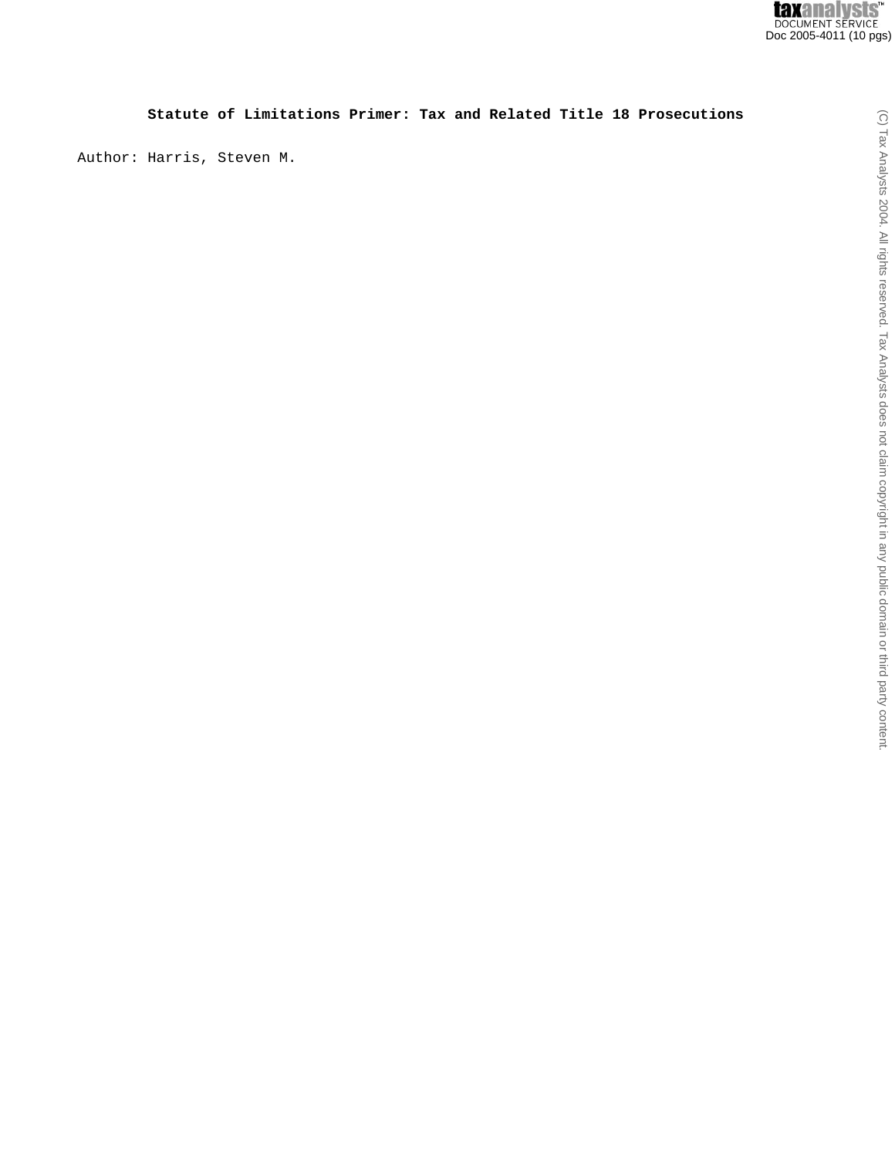# **Statute of Limitations Primer: Tax and Related Title 18 Prosecutions**

Author: Harris, Steven M.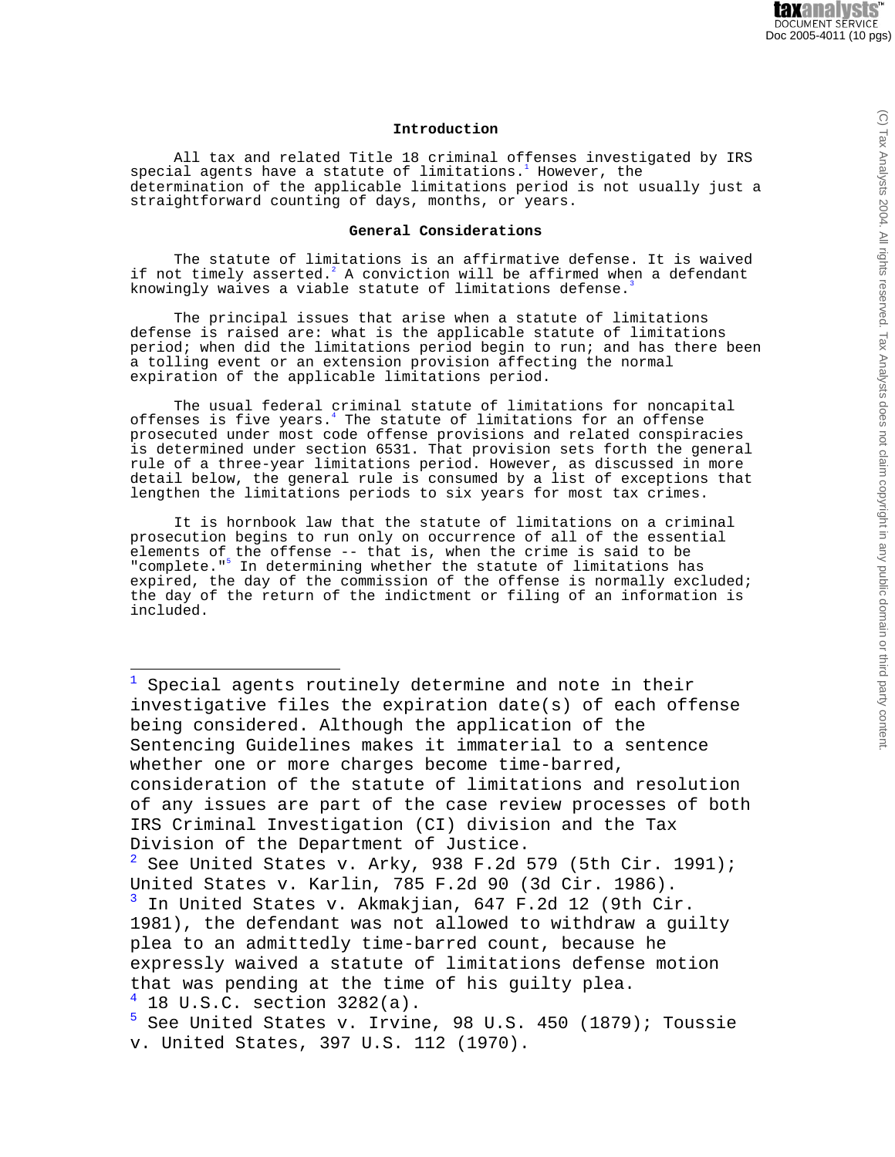## **Introduction**

All tax and related Title 18 criminal offenses investigated by IRS special agents have a statute of limitations. $^1$  However, the determination of the applicable limitations period is not usually just a straightforward counting of days, months, or years.

## **General Considerations**

The statute of limitations is an affirmative defense. It is waived if not timely asserted. $^2$  A conviction will be affirmed when a defendant knowingly waives a viable statute of limitations defense.

The principal issues that arise when a statute of limitations defense is raised are: what is the applicable statute of limitations period; when did the limitations period begin to run; and has there been a tolling event or an extension provision affecting the normal expiration of the applicable limitations period.

The usual federal criminal statute of limitations for noncapital offenses is five years.<sup>4</sup> The statute of limitations for an offense prosecuted under most code offense provisions and related conspiracies is determined under section 6531. That provision sets forth the general rule of a three-year limitations period. However, as discussed in more detail below, the general rule is consumed by a list of exceptions that lengthen the limitations periods to six years for most tax crimes.

It is hornbook law that the statute of limitations on a criminal prosecution begins to run only on occurrence of all of the essential elements of the offense -- that is, when the crime is said to be "complete."<sup>5</sup> In determining whether the statute of limitations has expired, the day of the commission of the offense is normally excluded; the day of the return of the indictment or filing of an information is included.

Special agents routinely determine and note in their investigative files the expiration date(s) of each offense being considered. Although the application of the Sentencing Guidelines makes it immaterial to a sentence whether one or more charges become time-barred, consideration of the statute of limitations and resolution of any issues are part of the case review processes of both IRS Criminal Investigation (CI) division and the Tax Division of the Department of Justice.  $2^2$  See United States v. Arky, 938 F.2d 579 (5th Cir. 1991); United States v. Karlin, 785 F.2d 90 (3d Cir. 1986).<br><sup>3</sup> In United States v. Akmakijan, 647 F.2d 12 (9th Cir In United States v. Akmakjian, 647 F.2d 12 (9th Cir. 1981), the defendant was not allowed to withdraw a guilty plea to an admittedly time-barred count, because he expressly waived a statute of limitations defense motion that was pending at the time of his guilty plea.  $\frac{4}{5}$  18 U.S.C. section 3282(a). <sup>5</sup> See United States v. Irvine, 98 U.S. 450 (1879); Toussie

 $\odot$ 

v. United States, 397 U.S. 112 (1970).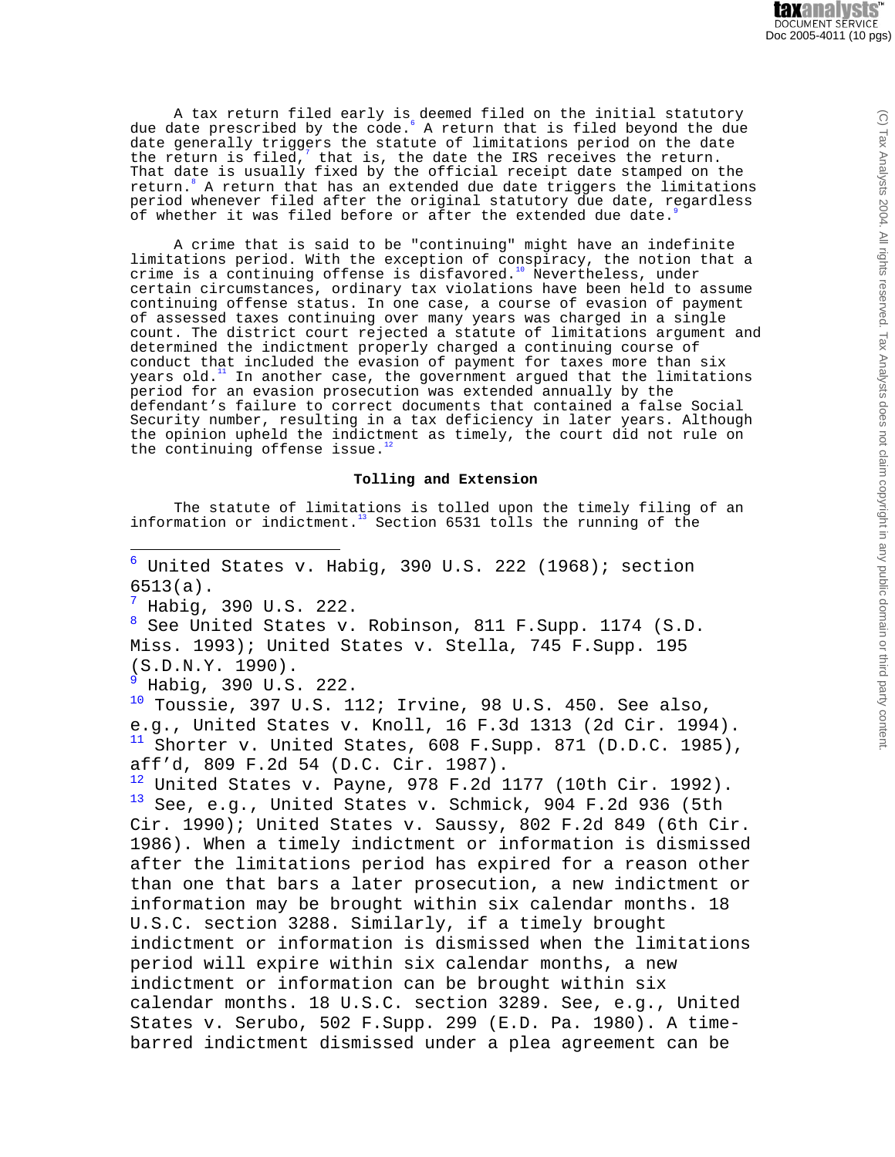A tax return filed early is deemed filed on the initial statutory due date prescribed by the code.<sup>6</sup> A return that is filed beyond the due date generally triggers the statute of limitations period on the date the return is filed,<sup>7</sup> that is, the date the IRS receives the return. That date is usually fixed by the official receipt date stamped on the return.<sup>8</sup> A return that has an extended due date triggers the limitations period whenever filed after the original statutory due date, regardless of whether it was filed before or after the extended due date.

A crime that is said to be "continuing" might have an indefinite limitations period. With the exception of conspiracy, the notion that a crime is a continuing offense is disfavored.<sup>10</sup> Nevertheless, under certain circumstances, ordinary tax violations have been held to assume continuing offense status. In one case, a course of evasion of payment of assessed taxes continuing over many years was charged in a single count. The district court rejected a statute of limitations argument and determined the indictment properly charged a continuing course of conduct that included the evasion of payment for taxes more than six years old. $11$  In another case, the government argued that the limitations period for an evasion prosecution was extended annually by the defendant's failure to correct documents that contained a false Social Security number, resulting in a tax deficiency in later years. Although the opinion upheld the indictment as timely, the court did not rule on the continuing offense issue.

## **Tolling and Extension**

The statute of limitations is tolled upon the timely filing of an information or indictment.<sup>13</sup> Section 6531 tolls the running of the

 $6$  United States v. Habig, 390 U.S. 222 (1968); section 6513(a).  $\frac{7}{1}$  Habig, 390 U.S. 222. <sup>8</sup> See United States v. Robinson, 811 F.Supp. 1174 (S.D. Miss. 1993); United States v. Stella, 745 F.Supp. 195 (S.D.N.Y. 1990).  $9$  Habig, 390 U.S. 222.  $10$  Toussie, 397 U.S. 112; Irvine, 98 U.S. 450. See also, e.g., United States v. Knoll, 16 F.3d 1313 (2d Cir. 1994).  $11$  Shorter v. United States, 608 F. Supp. 871 (D.D.C. 1985), aff'd, 809 F.2d 54 (D.C. Cir. 1987).  $12$  United States v. Payne, 978 F.2d 1177 (10th Cir. 1992).  $13$  See, e.g., United States v. Schmick, 904 F.2d 936 (5th Cir. 1990); United States v. Saussy, 802 F.2d 849 (6th Cir. 1986). When a timely indictment or information is dismissed after the limitations period has expired for a reason other than one that bars a later prosecution, a new indictment or information may be brought within six calendar months. 18 U.S.C. section 3288. Similarly, if a timely brought indictment or information is dismissed when the limitations period will expire within six calendar months, a new indictment or information can be brought within six calendar months. 18 U.S.C. section 3289. See, e.g., United States v. Serubo, 502 F.Supp. 299 (E.D. Pa. 1980). A timebarred indictment dismissed under a plea agreement can be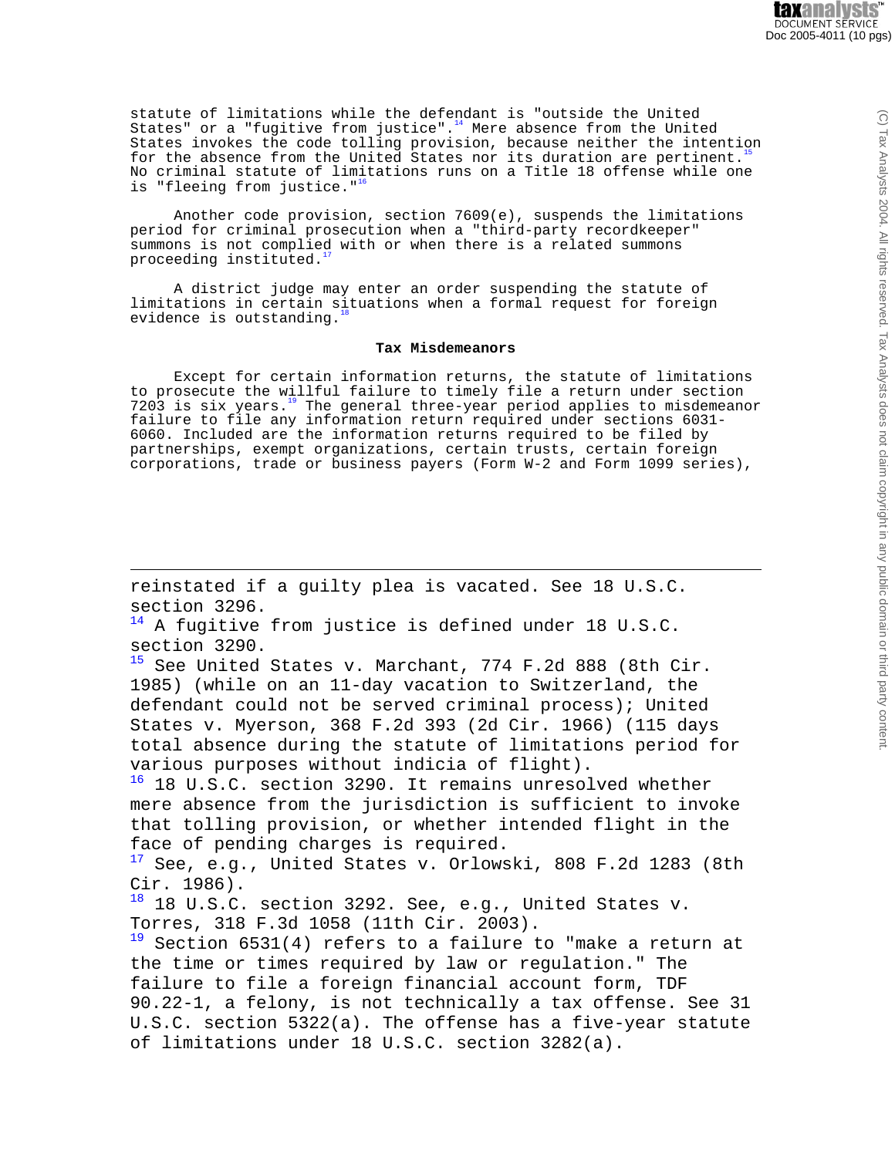statute of limitations while the defendant is "outside the United States" or a "fugitive from justice". $14$  Mere absence from the United States invokes the code tolling provision, because neither the intention for the absence from the United States nor its duration are pertinent.<sup>1</sup> No criminal statute of limitations runs on a Title 18 offense while one is "fleeing from justice."<sup>1</sup>

Another code provision, section 7609(e), suspends the limitations period for criminal prosecution when a "third-party recordkeeper" summons is not complied with or when there is a related summons proceeding instituted.

A district judge may enter an order suspending the statute of limitations in certain situations when a formal request for foreign evidence is outstanding.

#### **Tax Misdemeanors**

Except for certain information returns, the statute of limitations to prosecute the willful failure to timely file a return under section 7203 is six years. $19$  The general three-year period applies to misdemeanor failure to file any information return required under sections 6031- 6060. Included are the information returns required to be filed by partnerships, exempt organizations, certain trusts, certain foreign corporations, trade or business payers (Form W-2 and Form 1099 series),

reinstated if a guilty plea is vacated. See 18 U.S.C. section 3296.

 $14$  A fugitive from justice is defined under 18 U.S.C. section 3290.

<sup>15</sup> See United States v. Marchant, 774 F.2d 888 (8th Cir. 1985) (while on an 11-day vacation to Switzerland, the defendant could not be served criminal process); United States v. Myerson, 368 F.2d 393 (2d Cir. 1966) (115 days total absence during the statute of limitations period for various purposes without indicia of flight).

<sup>16</sup> 18 U.S.C. section 3290. It remains unresolved whether mere absence from the jurisdiction is sufficient to invoke that tolling provision, or whether intended flight in the face of pending charges is required.

 $17$  See, e.g., United States v. Orlowski, 808 F.2d 1283 (8th Cir. 1986).

18 18 U.S.C. section 3292. See, e.g., United States v. Torres, 318 F.3d 1058 (11th Cir. 2003).

 $19$  Section 6531(4) refers to a failure to "make a return at the time or times required by law or regulation." The failure to file a foreign financial account form, TDF 90.22-1, a felony, is not technically a tax offense. See 31 U.S.C. section 5322(a). The offense has a five-year statute of limitations under 18 U.S.C. section 3282(a).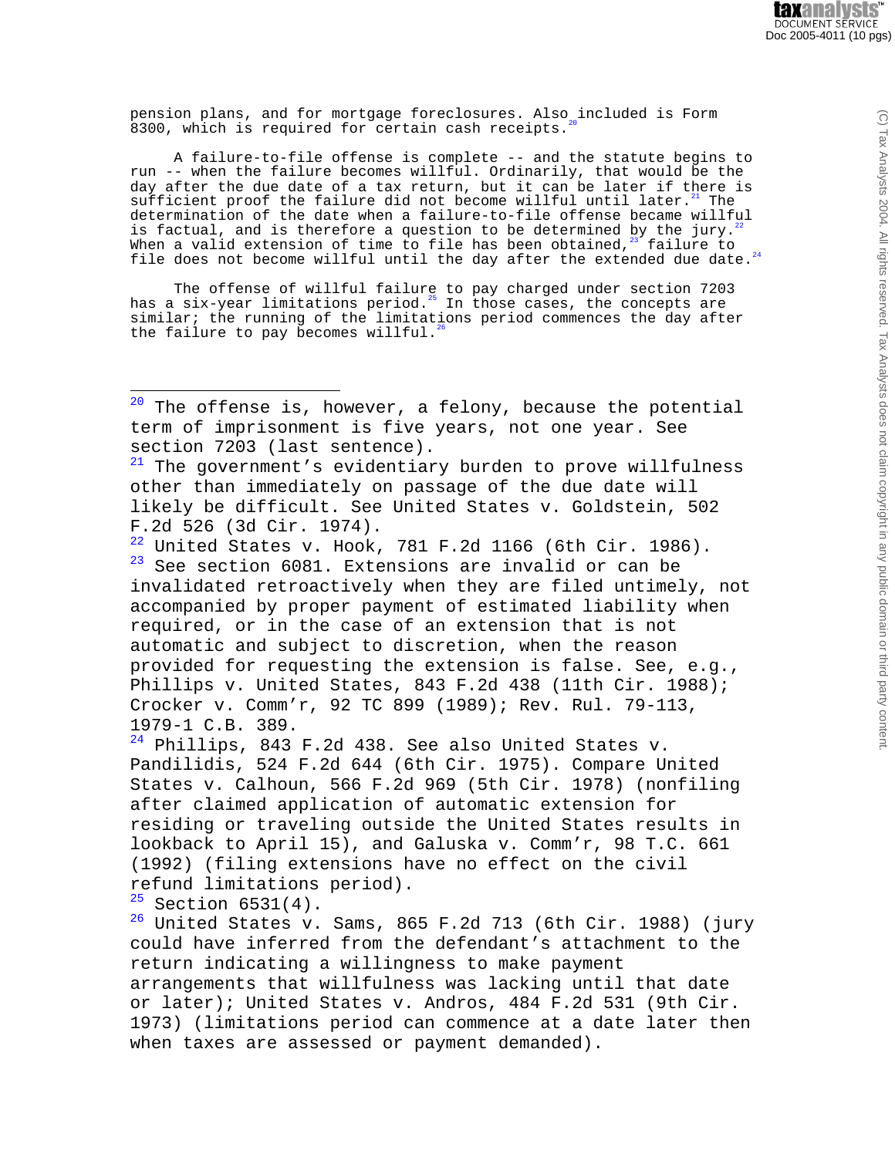pension plans, and for mortgage foreclosures. Also included is Form 8300, which is required for certain cash receipts.

A failure-to-file offense is complete -- and the statute begins to run -- when the failure becomes willful. Ordinarily, that would be the day after the due date of a tax return, but it can be later if there is sufficient proof the failure did not become willful until later. $21$  The determination of the date when a failure-to-file offense became willful is factual, and is therefore a question to be determined by the jury.<sup>2</sup> When a valid extension of time to file has been obtained,  $23^{\circ}$  failure to file does not become willful until the day after the extended due date. $24$ 

The offense of willful failure to pay charged under section 7203 has a six-year limitations period.<sup>25</sup> In those cases, the concepts are similar; the running of the limitations period commences the day after the failure to pay becomes willful.<sup>2</sup>

 $20$  The offense is, however, a felony, because the potential term of imprisonment is five years, not one year. See section 7203 (last sentence).

 $21$  The government's evidentiary burden to prove willfulness other than immediately on passage of the due date will likely be difficult. See United States v. Goldstein, 502 F.2d 526 (3d Cir. 1974).

 $22$  United States v. Hook, 781 F.2d 1166 (6th Cir. 1986).  $23$  See section 6081. Extensions are invalid or can be invalidated retroactively when they are filed untimely, not accompanied by proper payment of estimated liability when required, or in the case of an extension that is not automatic and subject to discretion, when the reason provided for requesting the extension is false. See, e.g., Phillips v. United States, 843 F.2d 438 (11th Cir. 1988); Crocker v. Comm'r, 92 TC 899 (1989); Rev. Rul. 79-113, 1979-1 C.B. 389.

 $24$  Phillips, 843 F.2d 438. See also United States v. Pandilidis, 524 F.2d 644 (6th Cir. 1975). Compare United States v. Calhoun, 566 F.2d 969 (5th Cir. 1978) (nonfiling after claimed application of automatic extension for residing or traveling outside the United States results in lookback to April 15), and Galuska v. Comm'r, 98 T.C. 661 (1992) (filing extensions have no effect on the civil refund limitations period).

 $25$  Section 6531(4).

 $26$  United States v. Sams, 865 F.2d 713 (6th Cir. 1988) (jury could have inferred from the defendant's attachment to the return indicating a willingness to make payment arrangements that willfulness was lacking until that date or later); United States v. Andros, 484 F.2d 531 (9th Cir. 1973) (limitations period can commence at a date later then when taxes are assessed or payment demanded).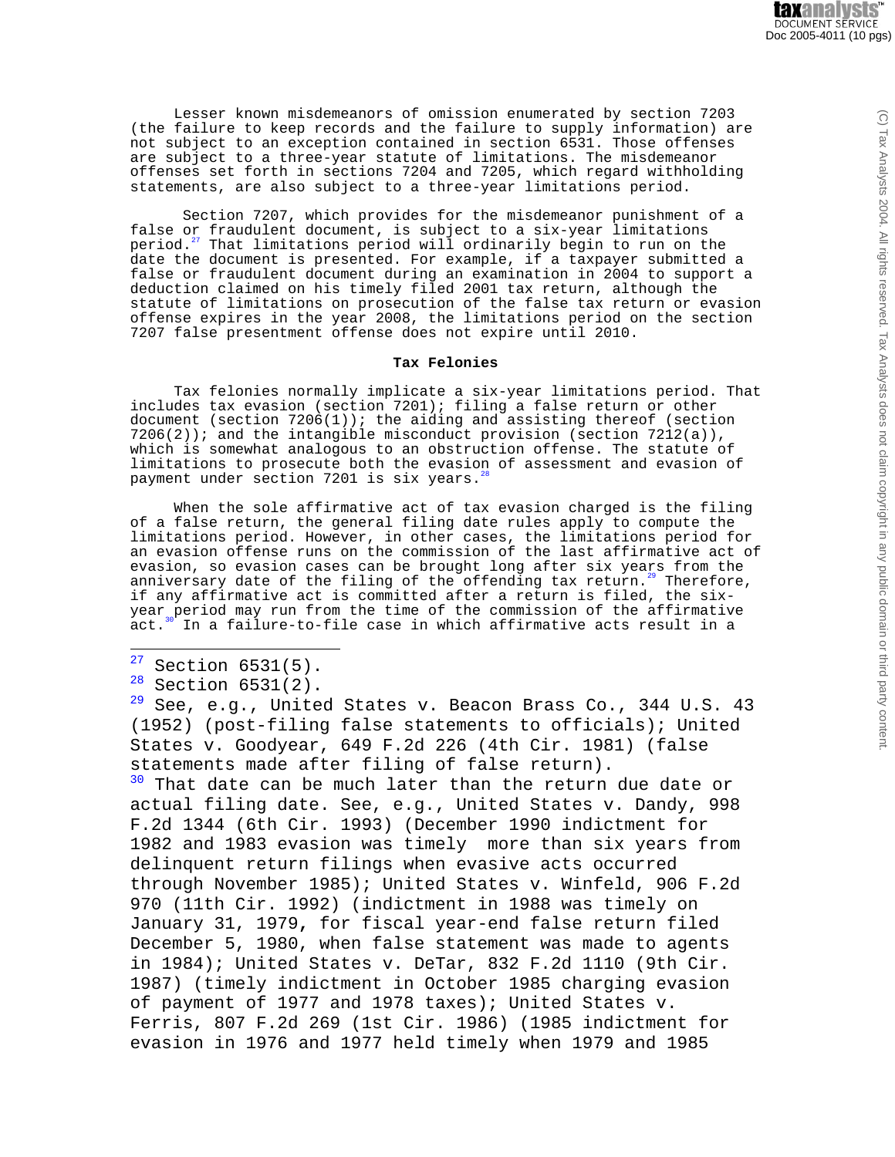Lesser known misdemeanors of omission enumerated by section 7203 (the failure to keep records and the failure to supply information) are not subject to an exception contained in section 6531. Those offenses are subject to a three-year statute of limitations. The misdemeanor offenses set forth in sections 7204 and 7205, which regard withholding statements, are also subject to a three-year limitations period.

Section 7207, which provides for the misdemeanor punishment of a false or fraudulent document, is subject to a six-year limitations period.<sup>27</sup> That limitations period will ordinarily begin to run on the date the document is presented. For example, if a taxpayer submitted a false or fraudulent document during an examination in 2004 to support a deduction claimed on his timely filed 2001 tax return, although the statute of limitations on prosecution of the false tax return or evasion offense expires in the year 2008, the limitations period on the section 7207 false presentment offense does not expire until 2010.

## **Tax Felonies**

Tax felonies normally implicate a six-year limitations period. That includes tax evasion (section 7201); filing a false return or other document (section  $7206(1)$ ); the aiding and assisting thereof (section  $7206(2)$ ; and the intangible misconduct provision (section  $7212(a)$ ), which is somewhat analogous to an obstruction offense. The statute of limitations to prosecute both the evasion of assessment and evasion of payment under section 7201 is six years.

When the sole affirmative act of tax evasion charged is the filing of a false return, the general filing date rules apply to compute the limitations period. However, in other cases, the limitations period for an evasion offense runs on the commission of the last affirmative act of evasion, so evasion cases can be brought long after six years from the anniversary date of the filing of the offending tax return.<sup>29</sup> Therefore, if any affirmative act is committed after a return is filed, the sixyear period may run from the time of the commission of the affirmative  $act.^{30}$  In a failure-to-file case in which affirmative acts result in a

 $27$  Section 6531(5).

 $28$  Section 6531(2).

 $29$  See, e.g., United States v. Beacon Brass Co., 344 U.S. 43 (1952) (post-filing false statements to officials); United States v. Goodyear, 649 F.2d 226 (4th Cir. 1981) (false statements made after filing of false return). <sup>30</sup> That date can be much later than the return due date or actual filing date. See, e.g., United States v. Dandy, 998 F.2d 1344 (6th Cir. 1993) (December 1990 indictment for 1982 and 1983 evasion was timely more than six years from delinquent return filings when evasive acts occurred through November 1985); United States v. Winfeld, 906 F.2d 970 (11th Cir. 1992) (indictment in 1988 was timely on January 31, 1979**,** for fiscal year-end false return filed December 5, 1980, when false statement was made to agents in 1984); United States v. DeTar, 832 F.2d 1110 (9th Cir. 1987) (timely indictment in October 1985 charging evasion of payment of 1977 and 1978 taxes); United States v. Ferris, 807 F.2d 269 (1st Cir. 1986) (1985 indictment for evasion in 1976 and 1977 held timely when 1979 and 1985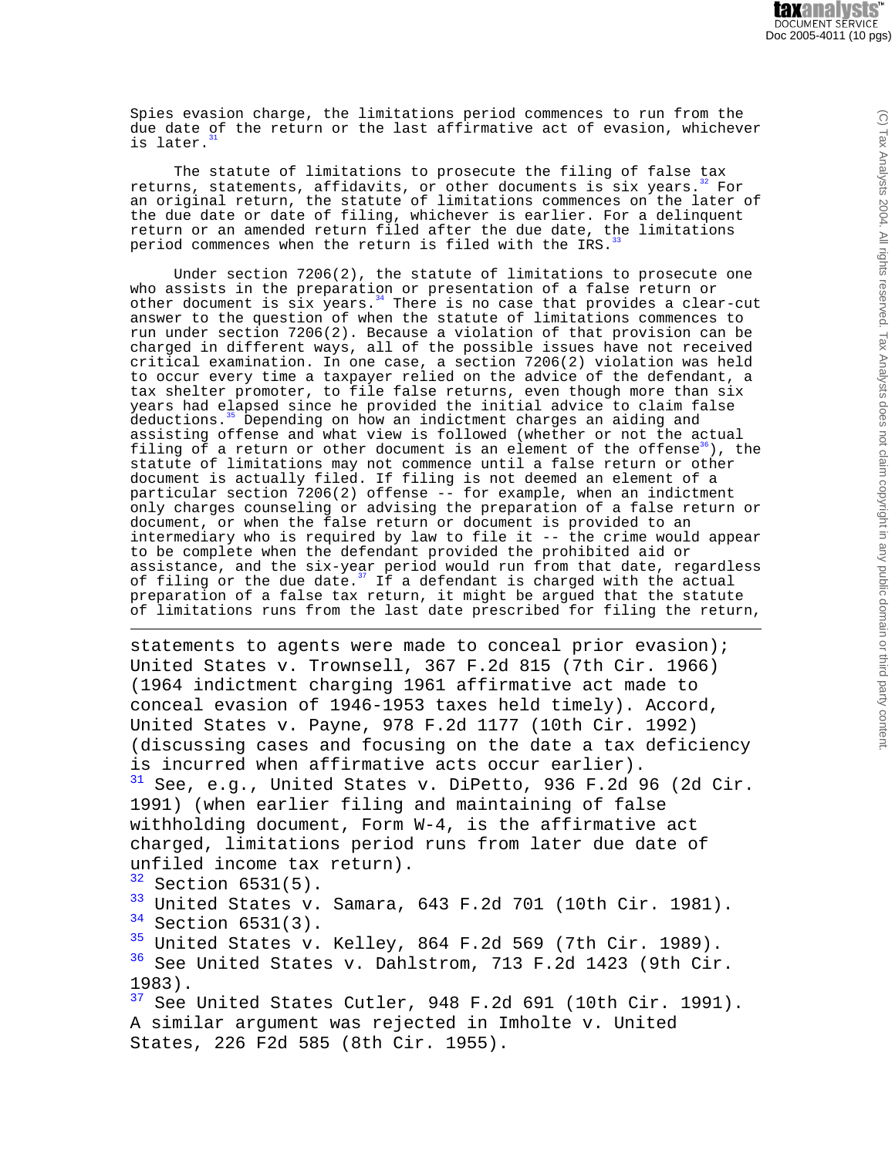Spies evasion charge, the limitations period commences to run from the due date of the return or the last affirmative act of evasion, whichever is later.

The statute of limitations to prosecute the filing of false tax returns, statements, affidavits, or other documents is six years.<sup>32</sup> For an original return, the statute of limitations commences on the later of the due date or date of filing, whichever is earlier. For a delinquent return or an amended return filed after the due date, the limitations period commences when the return is filed with the IRS.

Under section  $7206(2)$ , the statute of limitations to prosecute one who assists in the preparation or presentation of a false return or other document is  $\sin x$  years.<sup>34</sup> There is no case that provides a clear-cut answer to the question of when the statute of limitations commences to run under section 7206(2). Because a violation of that provision can be charged in different ways, all of the possible issues have not received critical examination. In one case, a section 7206(2) violation was held to occur every time a taxpayer relied on the advice of the defendant, a tax shelter promoter, to file false returns, even though more than six years had elapsed since he provided the initial advice to claim false deductions.<sup>35</sup> Depending on how an indictment charges an aiding and assisting offense and what view is followed (whether or not the actual filing of a return or other document is an element of the offense $36$ , the statute of limitations may not commence until a false return or other document is actually filed. If filing is not deemed an element of a particular section 7206(2) offense -- for example, when an indictment only charges counseling or advising the preparation of a false return or document, or when the false return or document is provided to an intermediary who is required by law to file it -- the crime would appear to be complete when the defendant provided the prohibited aid or assistance, and the six-year period would run from that date, regardless of filing or the due date.<sup>37</sup> If a defendant is charged with the actual preparation of a false tax return, it might be argued that the statute of limitations runs from the last date prescribed for filing the return,

statements to agents were made to conceal prior evasion); United States v. Trownsell, 367 F.2d 815 (7th Cir. 1966) (1964 indictment charging 1961 affirmative act made to conceal evasion of 1946-1953 taxes held timely). Accord, United States v. Payne, 978 F.2d 1177 (10th Cir. 1992) (discussing cases and focusing on the date a tax deficiency is incurred when affirmative acts occur earlier).  $31$  See, e.g., United States v. DiPetto, 936 F.2d 96 (2d Cir. 1991) (when earlier filing and maintaining of false withholding document, Form W-4, is the affirmative act charged, limitations period runs from later due date of unfiled income tax return).  $32$  Section 6531(5).<br> $33$  United States V  $\frac{33}{34}$  United States v. Samara, 643 F.2d 701 (10th Cir. 1981).<br> $\frac{34}{34}$  Section 6531(3) Section 6531(3).  $35$  United States v. Kelley, 864 F.2d 569 (7th Cir. 1989). See United States v. Dahlstrom, 713 F.2d 1423 (9th Cir. 1983).  $37$  See United States Cutler, 948 F.2d 691 (10th Cir. 1991). A similar argument was rejected in Imholte v. United

States, 226 F2d 585 (8th Cir. 1955).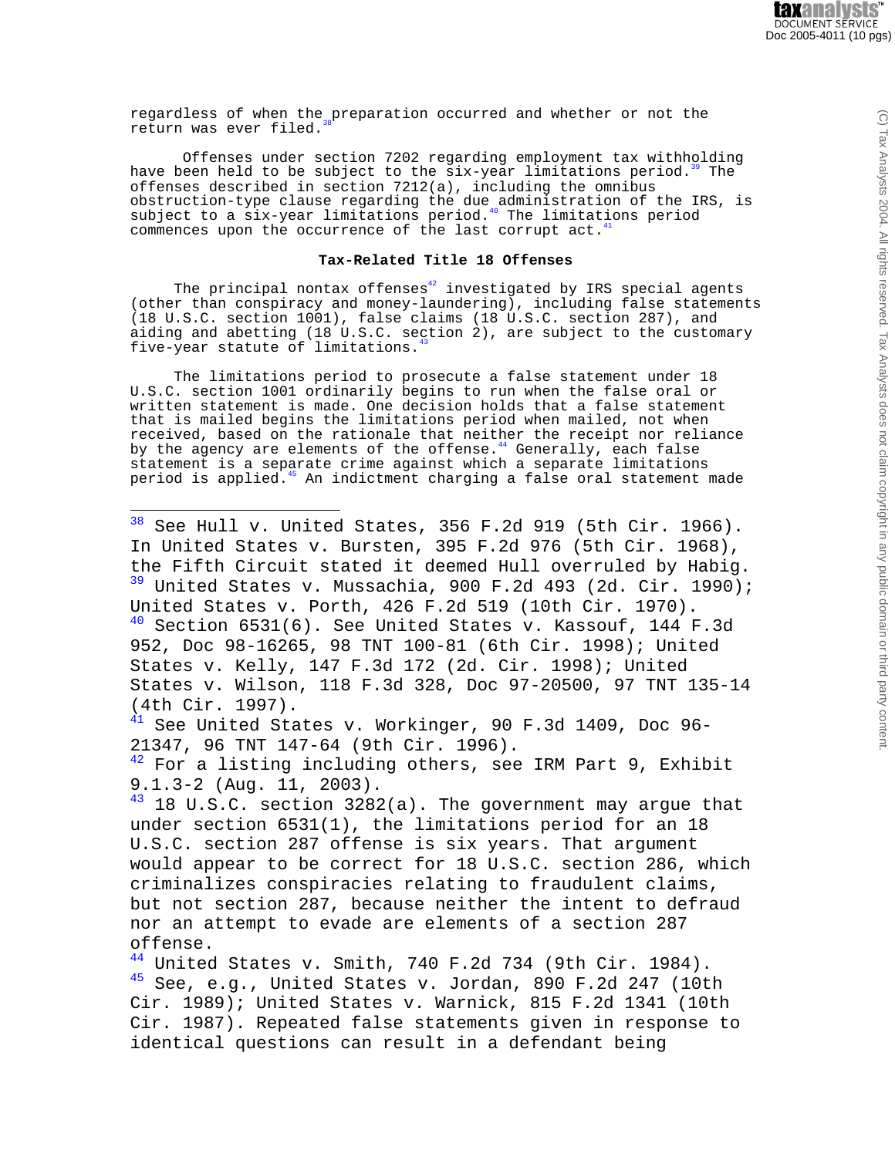regardless of when the preparation occurred and whether or not the return was ever filed.

Offenses under section 7202 regarding employment tax withholding have been held to be subject to the six-year limitations period.<sup>39</sup> The offenses described in section 7212(a), including the omnibus obstruction-type clause regarding the due administration of the IRS, is subject to a six-year limitations period.<sup>40</sup> The limitations period commences upon the occurrence of the last corrupt act.

#### **Tax-Related Title 18 Offenses**

The principal nontax offenses $42$  investigated by IRS special agents (other than conspiracy and money-laundering), including false statements (18 U.S.C. section 1001), false claims (18 U.S.C. section 287), and aiding and abetting (18 U.S.C. section 2), are subject to the customary five-year statute of limitations.<sup>43</sup>

The limitations period to prosecute a false statement under 18 U.S.C. section 1001 ordinarily begins to run when the false oral or written statement is made. One decision holds that a false statement that is mailed begins the limitations period when mailed, not when received, based on the rationale that neither the receipt nor reliance by the agency are elements of the offense.<sup>44</sup> Generally, each false statement is a separate crime against which a separate limitations period is applied.<sup>45</sup> An indictment charging a false oral statement made

 $38$  See Hull v. United States, 356 F.2d 919 (5th Cir. 1966). In United States v. Bursten, 395 F.2d 976 (5th Cir. 1968), the Fifth Circuit stated it deemed Hull overruled by Habig.<br><sup>39</sup> United States v. Mussachia, 900 F.2d 493 (2d. Cir. 1990); United States v. Porth, 426 F.2d 519 (10th Cir. 1970).  $40$  Section 6531(6). See United States v. Kassouf, 144 F.3d 952, Doc 98-16265, 98 TNT 100-81 (6th Cir. 1998); United States v. Kelly, 147 F.3d 172 (2d. Cir. 1998); United States v. Wilson, 118 F.3d 328, Doc 97-20500, 97 TNT 135-14 (4th Cir. 1997). <sup>41</sup> See United States v. Workinger, 90 F.3d 1409, Doc 96- 21347, 96 TNT 147-64 (9th Cir. 1996).  $42$  For a listing including others, see IRM Part 9, Exhibit 9.1.3-2 (Aug. 11, 2003).  $43$  18 U.S.C. section 3282(a). The government may argue that under section 6531(1), the limitations period for an 18 U.S.C. section 287 offense is six years. That argument would appear to be correct for 18 U.S.C. section 286, which criminalizes conspiracies relating to fraudulent claims, but not section 287, because neither the intent to defraud nor an attempt to evade are elements of a section 287 offense.  $44$  United States v. Smith, 740 F.2d 734 (9th Cir. 1984).  $45$  See, e.g., United States v. Jordan, 890 F.2d 247 (10th Cir. 1989); United States v. Warnick, 815 F.2d 1341 (10th Cir. 1987). Repeated false statements given in response to

identical questions can result in a defendant being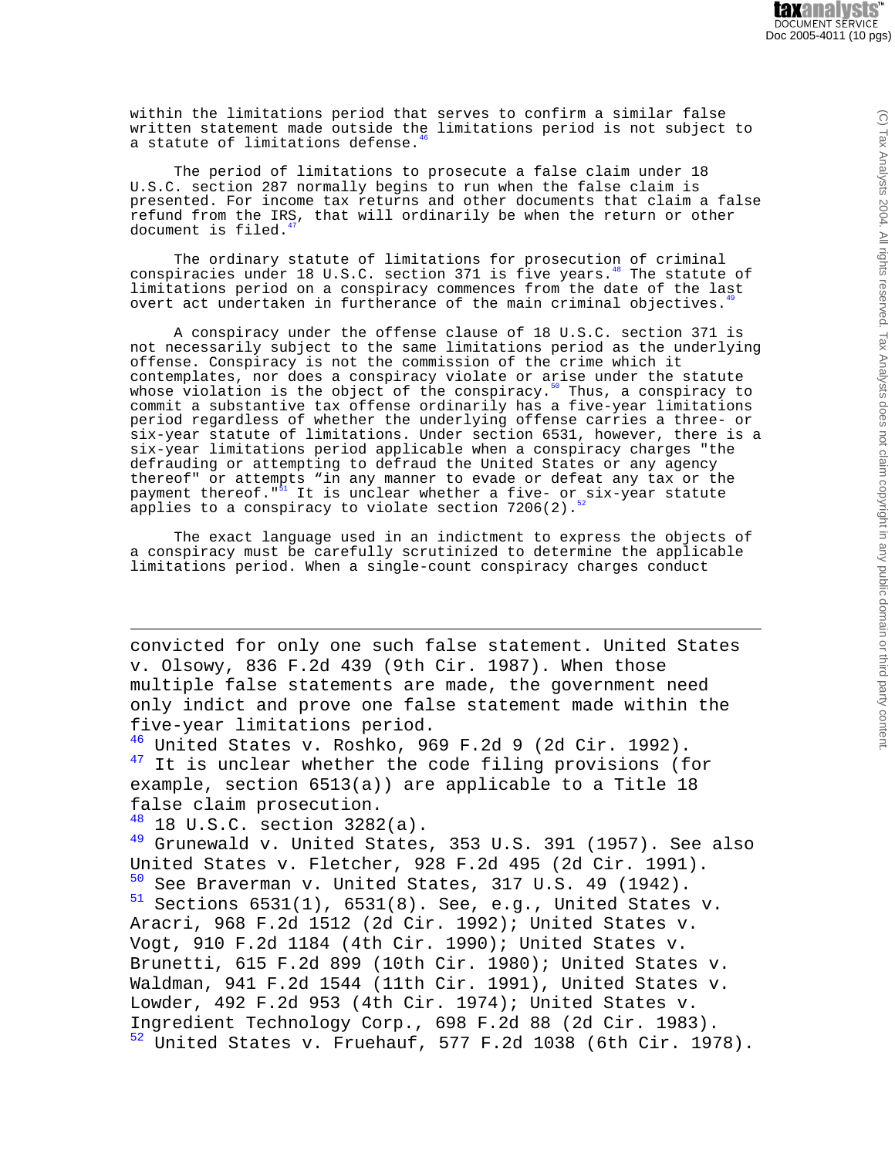within the limitations period that serves to confirm a similar false written statement made outside the limitations period is not subject to a statute of limitations defense.

The period of limitations to prosecute a false claim under 18 U.S.C. section 287 normally begins to run when the false claim is presented. For income tax returns and other documents that claim a false refund from the IRS, that will ordinarily be when the return or other document is filed.

The ordinary statute of limitations for prosecution of criminal conspiracies under 18 U.S.C. section 371 is five years.<sup>48</sup> The statute of limitations period on a conspiracy commences from the date of the last overt act undertaken in furtherance of the main criminal objectives.

A conspiracy under the offense clause of 18 U.S.C. section 371 is not necessarily subject to the same limitations period as the underlying offense. Conspiracy is not the commission of the crime which it contemplates, nor does a conspiracy violate or arise under the statute whose violation is the object of the conspiracy.<sup>50</sup> Thus, a conspiracy to commit a substantive tax offense ordinarily has a five-year limitations period regardless of whether the underlying offense carries a three- or six-year statute of limitations. Under section 6531, however, there is a six-year limitations period applicable when a conspiracy charges "the defrauding or attempting to defraud the United States or any agency thereof" or attempts "in any manner to evade or defeat any tax or the payment thereof."<sup>51</sup> It is unclear whether a five- or six-year statute It is unclear whether a five- or six-year statute applies to a conspiracy to violate section  $7206(2)$ .

The exact language used in an indictment to express the objects of a conspiracy must be carefully scrutinized to determine the applicable limitations period. When a single-count conspiracy charges conduct

convicted for only one such false statement. United States v. Olsowy, 836 F.2d 439 (9th Cir. 1987). When those multiple false statements are made, the government need only indict and prove one false statement made within the five-year limitations period.

 $46$  United States v. Roshko, 969 F.2d 9 (2d Cir. 1992). <sup>47</sup> It is unclear whether the code filing provisions (for example, section 6513(a)) are applicable to a Title 18 false claim prosecution.

 $48$  18 U.S.C. section 3282(a).

 $49$  Grunewald v. United States, 353 U.S. 391 (1957). See also United States v. Fletcher, 928 F.2d 495 (2d Cir. 1991).  $50$  See Braverman v. United States, 317 U.S. 49 (1942).<br> $51$  Sections 6531(1) 6531(8) See e.g. United States Sections  $6531(1)$ ,  $6531(8)$ . See, e.g., United States v. Aracri, 968 F.2d 1512 (2d Cir. 1992); United States v. Vogt, 910 F.2d 1184 (4th Cir. 1990); United States v. Brunetti, 615 F.2d 899 (10th Cir. 1980); United States v. Waldman, 941 F.2d 1544 (11th Cir. 1991), United States v. Lowder, 492 F.2d 953 (4th Cir. 1974); United States v. Ingredient Technology Corp., 698 F.2d 88 (2d Cir. 1983). <sup>52</sup> United States v. Fruehauf, 577 F.2d 1038 (6th Cir. 1978).